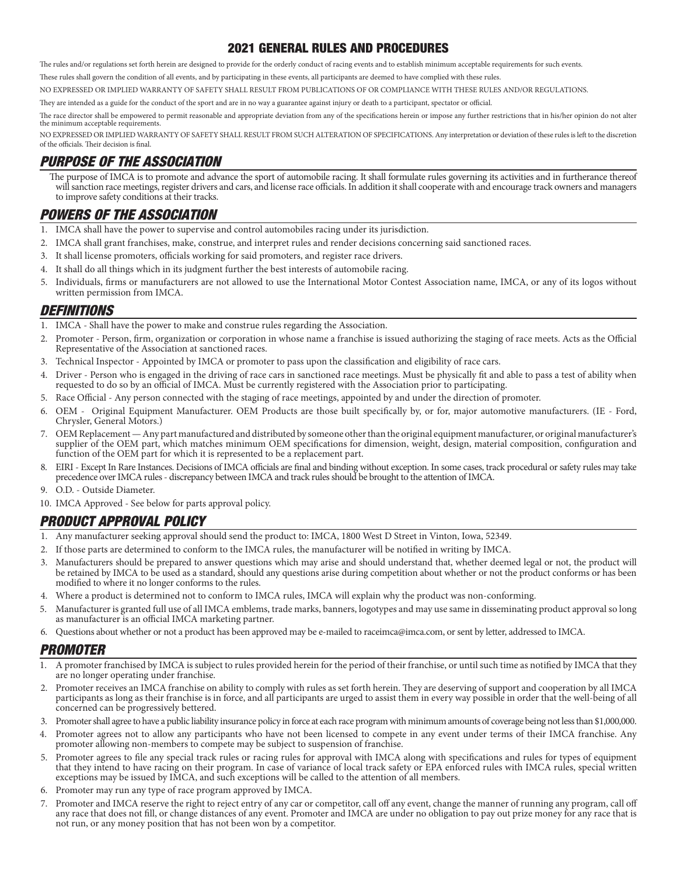## 2021 GENERAL RULES AND PROCEDURES

The rules and/or regulations set forth herein are designed to provide for the orderly conduct of racing events and to establish minimum acceptable requirements for such events.

These rules shall govern the condition of all events, and by participating in these events, all participants are deemed to have complied with these rules.

NO EXPRESSED OR IMPLIED WARRANTY OF SAFETY SHALL RESULT FROM PUBLICATIONS OF OR COMPLIANCE WITH THESE RULES AND/OR REGULATIONS.

They are intended as a guide for the conduct of the sport and are in no way a guarantee against injury or death to a participant, spectator or official.

The race director shall be empowered to permit reasonable and appropriate deviation from any of the specifications herein or impose any further restrictions that in his/her opinion do not alter the minimum acceptable requirements.

NO EXPRESSED OR IMPLIED WARRANTY OF SAFETY SHALL RESULT FROM SUCH ALTERATION OF SPECIFICATIONS. Any interpretation or deviation of these rules is left to the discretion of the officials. Their decision is final.

## PURPOSE OF THE ASSOCIATION

The purpose of IMCA is to promote and advance the sport of automobile racing. It shall formulate rules governing its activities and in furtherance thereof will sanction race meetings, register drivers and cars, and license race officials. In addition it shall cooperate with and encourage track owners and managers to improve safety conditions at their tracks.

# POWERS OF THE ASSOCIATION

- 1. IMCA shall have the power to supervise and control automobiles racing under its jurisdiction.
- 2. IMCA shall grant franchises, make, construe, and interpret rules and render decisions concerning said sanctioned races.
- 3. It shall license promoters, officials working for said promoters, and register race drivers.
- 4. It shall do all things which in its judgment further the best interests of automobile racing.
- 5. Individuals, firms or manufacturers are not allowed to use the International Motor Contest Association name, IMCA, or any of its logos without written permission from IMCA.

### DEFINITIONS

- 1. IMCA Shall have the power to make and construe rules regarding the Association.
- 2. Promoter Person, firm, organization or corporation in whose name a franchise is issued authorizing the staging of race meets. Acts as the Official Representative of the Association at sanctioned races.
- 3. Technical Inspector Appointed by IMCA or promoter to pass upon the classification and eligibility of race cars.
- 4. Driver Person who is engaged in the driving of race cars in sanctioned race meetings. Must be physically fit and able to pass a test of ability when requested to do so by an official of IMCA. Must be currently registered with the Association prior to participating.
- 5. Race Official Any person connected with the staging of race meetings, appointed by and under the direction of promoter.
- 6. OEM Original Equipment Manufacturer. OEM Products are those built specifically by, or for, major automotive manufacturers. (IE Ford, Chrysler, General Motors.)
- 7. OEM Replacement Any part manufactured and distributed by someone other than the original equipment manufacturer, or original manufacturer's supplier of the OEM part, which matches minimum OEM specifications for dimension, weight, design, material composition, configuration and function of the OEM part for which it is represented to be a replacement part.
- 8. EIRI Except In Rare Instances. Decisions of IMCA officials are final and binding without exception. In some cases, track procedural or safety rules may take precedence over IMCA rules - discrepancy between IMCA and track rules should be brought to the attention of IMCA.
- 9. O.D. Outside Diameter.
- 10. IMCA Approved See below for parts approval policy.

# PRODUCT APPROVAL POLICY

- 1. Any manufacturer seeking approval should send the product to: IMCA, 1800 West D Street in Vinton, Iowa, 52349.
- 2. If those parts are determined to conform to the IMCA rules, the manufacturer will be notified in writing by IMCA.
- 3. Manufacturers should be prepared to answer questions which may arise and should understand that, whether deemed legal or not, the product will be retained by IMCA to be used as a standard, should any questions arise during competition about whether or not the product conforms or has been modified to where it no longer conforms to the rules.
- 4. Where a product is determined not to conform to IMCA rules, IMCA will explain why the product was non-conforming.
- 5. Manufacturer is granted full use of all IMCA emblems, trade marks, banners, logotypes and may use same in disseminating product approval so long as manufacturer is an official IMCA marketing partner.
- 6. Questions about whether or not a product has been approved may be e-mailed to raceimca@imca.com, or sent by letter, addressed to IMCA.

# PROMOTER

- 1. A promoter franchised by IMCA is subject to rules provided herein for the period of their franchise, or until such time as notified by IMCA that they are no longer operating under franchise.
- 2. Promoter receives an IMCA franchise on ability to comply with rules as set forth herein. They are deserving of support and cooperation by all IMCA participants as long as their franchise is in force, and all participants are urged to assist them in every way possible in order that the well-being of all concerned can be progressively bettered.
- 3. Promoter shall agree to have a public liability insurance policy in force at each race program with minimum amounts of coverage being not less than \$1,000,000.
- 4. Promoter agrees not to allow any participants who have not been licensed to compete in any event under terms of their IMCA franchise. Any promoter allowing non-members to compete may be subject to suspension of franchise.
- 5. Promoter agrees to file any special track rules or racing rules for approval with IMCA along with specifications and rules for types of equipment that they intend to have racing on their program. In case of variance of local track safety or EPA enforced rules with IMCA rules, special written exceptions may be issued by IMCA, and such exceptions will be called to the attention of all members.
- 6. Promoter may run any type of race program approved by IMCA.
- 7. Promoter and IMCA reserve the right to reject entry of any car or competitor, call off any event, change the manner of running any program, call off any race that does not fill, or change distances of any event. Promoter and IMCA are under no obligation to pay out prize money for any race that is not run, or any money position that has not been won by a competitor.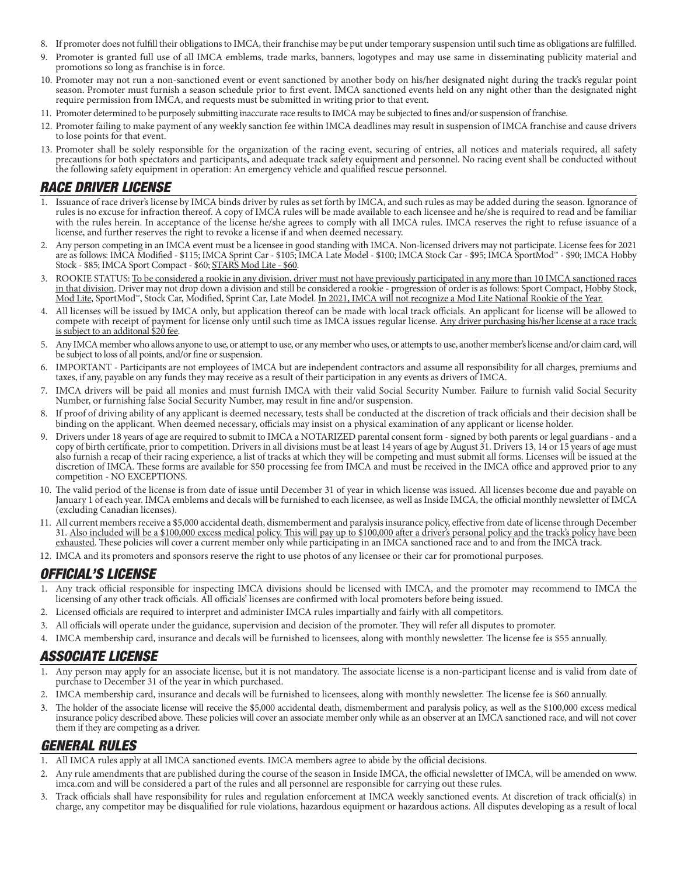- 8. If promoter does not fulfill their obligations to IMCA, their franchise may be put under temporary suspension until such time as obligations are fulfilled.
- 9. Promoter is granted full use of all IMCA emblems, trade marks, banners, logotypes and may use same in disseminating publicity material and promotions so long as franchise is in force.
- 10. Promoter may not run a non-sanctioned event or event sanctioned by another body on his/her designated night during the track's regular point season. Promoter must furnish a season schedule prior to first event. IMCA sanctioned events held on any night other than the designated night require permission from IMCA, and requests must be submitted in writing prior to that event.
- 11. Promoter determined to be purposely submitting inaccurate race results to IMCA may be subjected to fines and/or suspension of franchise.
- 12. Promoter failing to make payment of any weekly sanction fee within IMCA deadlines may result in suspension of IMCA franchise and cause drivers to lose points for that event.
- 13. Promoter shall be solely responsible for the organization of the racing event, securing of entries, all notices and materials required, all safety precautions for both spectators and participants, and adequate track safety equipment and personnel. No racing event shall be conducted without the following safety equipment in operation: An emergency vehicle and qualified rescue personnel.

### RACE DRIVER LICENSE

- 1. Issuance of race driver's license by IMCA binds driver by rules as set forth by IMCA, and such rules as may be added during the season. Ignorance of rules is no excuse for infraction thereof. A copy of IMCA rules will be made available to each licensee and he/she is required to read and be familiar with the rules herein. In acceptance of the license he/she agrees to comply with all IMCA rules. IMCA reserves the right to refuse issuance of a license, and further reserves the right to revoke a license if and when deemed necessary.
- 2. Any person competing in an IMCA event must be a licensee in good standing with IMCA. Non-licensed drivers may not participate. License fees for 2021 are as follows: IMCA Modified - \$115; IMCA Sprint Car - \$105; IMCA Late Model - \$100; IMCA Stock Car - \$95; IMCA SportMod™ - \$90; IMCA Hobby Stock - \$85; IMCA Sport Compact - \$60; STARS Mod Lite - \$60.
- 3. ROOKIE STATUS: To be considered a rookie in any division, driver must not have previously participated in any more than 10 IMCA sanctioned races in that division. Driver may not drop down a division and still be considered a rookie - progression of order is as follows: Sport Compact, Hobby Stock, Mod Lite, SportMod™, Stock Car, Modified, Sprint Car, Late Model. <u>In 2021, IMCA will not recognize a Mod Lite National Rookie of the Year.</u>
- 4. All licenses will be issued by IMCA only, but application thereof can be made with local track officials. An applicant for license will be allowed to compete with receipt of payment for license only until such time as IMCA issues regular license. Any driver purchasing his/her license at a race track is subject to an additonal \$20 fee.
- 5. Any IMCA member who allows anyone to use, or attempt to use, or any member who uses, or attempts to use, another member's license and/or claim card, will be subject to loss of all points, and/or fine or suspension.
- 6. IMPORTANT Participants are not employees of IMCA but are independent contractors and assume all responsibility for all charges, premiums and taxes, if any, payable on any funds they may receive as a result of their participation in any events as drivers of IMCA.
- 7. IMCA drivers will be paid all monies and must furnish IMCA with their valid Social Security Number. Failure to furnish valid Social Security Number, or furnishing false Social Security Number, may result in fine and/or suspension.
- 8. If proof of driving ability of any applicant is deemed necessary, tests shall be conducted at the discretion of track officials and their decision shall be binding on the applicant. When deemed necessary, officials may insist on a physical examination of any applicant or license holder.
- 9. Drivers under 18 years of age are required to submit to IMCA a NOTARIZED parental consent form signed by both parents or legal guardians and a copy of birth certificate, prior to competition. Drivers in all divisions must be at least 14 years of age by August 31. Drivers 13, 14 or 15 years of age must also furnish a recap of their racing experience, a list of tracks at which they will be competing and must submit all forms. Licenses will be issued at the discretion of IMCA. These forms are available for \$50 processing fee from IMCA and must be received in the IMCA office and approved prior to any competition - NO EXCEPTIONS.
- 10. The valid period of the license is from date of issue until December 31 of year in which license was issued. All licenses become due and payable on January 1 of each year. IMCA emblems and decals will be furnished to each licensee, as well as Inside IMCA, the official monthly newsletter of IMCA (excluding Canadian licenses).
- 11. All current members receive a \$5,000 accidental death, dismemberment and paralysis insurance policy, effective from date of license through December 31. Also included will be a \$100,000 excess medical policy. This will pay up to \$100,000 after a driver's personal policy and the track's policy have been exhausted. These policies will cover a current member only while participating in an IMCA sanctioned race and to and from the IMCA track.
- 12. IMCA and its promoters and sponsors reserve the right to use photos of any licensee or their car for promotional purposes.

# OFFICIAL'S LICENSE

- 1. Any track official responsible for inspecting IMCA divisions should be licensed with IMCA, and the promoter may recommend to IMCA the licensing of any other track officials. All officials' licenses are confirmed with local promoters before being issued.
- 2. Licensed officials are required to interpret and administer IMCA rules impartially and fairly with all competitors.
- 3. All officials will operate under the guidance, supervision and decision of the promoter. They will refer all disputes to promoter.
- 4. IMCA membership card, insurance and decals will be furnished to licensees, along with monthly newsletter. The license fee is \$55 annually.

### ASSOCIATE LICENSE

- Any person may apply for an associate license, but it is not mandatory. The associate license is a non-participant license and is valid from date of purchase to December 31 of the year in which purchased.
- 2. IMCA membership card, insurance and decals will be furnished to licensees, along with monthly newsletter. The license fee is \$60 annually.
- 3. The holder of the associate license will receive the \$5,000 accidental death, dismemberment and paralysis policy, as well as the \$100,000 excess medical insurance policy described above. These policies will cover an associate member only while as an observer at an IMCA sanctioned race, and will not cover them if they are competing as a driver.

### GENERAL RULES

- 1. All IMCA rules apply at all IMCA sanctioned events. IMCA members agree to abide by the official decisions.
- 2. Any rule amendments that are published during the course of the season in Inside IMCA, the official newsletter of IMCA, will be amended on www. imca.com and will be considered a part of the rules and all personnel are responsible for carrying out these rules.
- 3. Track officials shall have responsibility for rules and regulation enforcement at IMCA weekly sanctioned events. At discretion of track official(s) in charge, any competitor may be disqualified for rule violations, hazardous equipment or hazardous actions. All disputes developing as a result of local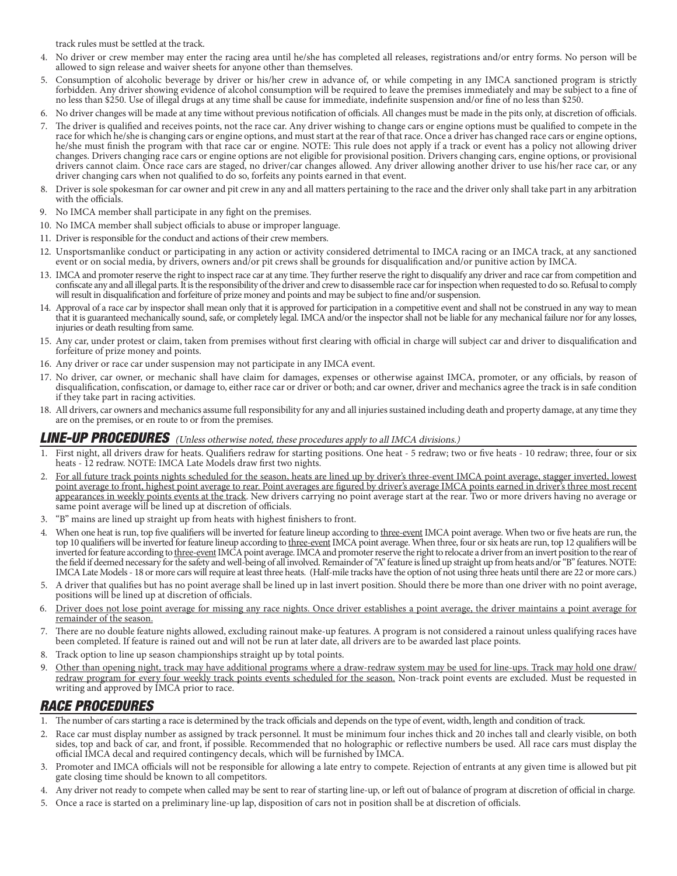track rules must be settled at the track.

- 4. No driver or crew member may enter the racing area until he/she has completed all releases, registrations and/or entry forms. No person will be allowed to sign release and waiver sheets for anyone other than themselves.
- 5. Consumption of alcoholic beverage by driver or his/her crew in advance of, or while competing in any IMCA sanctioned program is strictly forbidden. Any driver showing evidence of alcohol consumption will be required to leave the premises immediately and may be subject to a fine of no less than \$250. Use of illegal drugs at any time shall be cause for immediate, indefinite suspension and/or fine of no less than \$250.
- 6. No driver changes will be made at any time without previous notification of officials. All changes must be made in the pits only, at discretion of officials.
- 7. The driver is qualified and receives points, not the race car. Any driver wishing to change cars or engine options must be qualified to compete in the race for which he/she is changing cars or engine options, and must start at the rear of that race. Once a driver has changed race cars or engine options, he/she must finish the program with that race car or engine. NOTE: This rule does not apply if a track or event has a policy not allowing driver changes. Drivers changing race cars or engine options are not eligible for provisional position. Drivers changing cars, engine options, or provisional drivers cannot claim. Once race cars are staged, no driver/car changes allowed. Any driver allowing another driver to use his/her race car, or any driver changing cars when not qualified to do so, forfeits any points earned in that event.
- 8. Driver is sole spokesman for car owner and pit crew in any and all matters pertaining to the race and the driver only shall take part in any arbitration with the officials.
- 9. No IMCA member shall participate in any fight on the premises.
- 10. No IMCA member shall subject officials to abuse or improper language.
- 11. Driver is responsible for the conduct and actions of their crew members.
- 12. Unsportsmanlike conduct or participating in any action or activity considered detrimental to IMCA racing or an IMCA track, at any sanctioned event or on social media, by drivers, owners and/or pit crews shall be grounds for disqualification and/or punitive action by IMCA.
- 13. IMCA and promoter reserve the right to inspect race car at any time. They further reserve the right to disqualify any driver and race car from competition and confiscate any and all illegal parts. It is the responsibility of the driver and crew to disassemble race car for inspection when requested to do so. Refusal to comply will result in disqualification and forfeiture of prize money and points and may be subject to fine and/or suspension.
- 14. Approval of a race car by inspector shall mean only that it is approved for participation in a competitive event and shall not be construed in any way to mean that it is guaranteed mechanically sound, safe, or completely legal. IMCA and/or the inspector shall not be liable for any mechanical failure nor for any losses, injuries or death resulting from same.
- 15. Any car, under protest or claim, taken from premises without first clearing with official in charge will subject car and driver to disqualification and forfeiture of prize money and points.
- 16. Any driver or race car under suspension may not participate in any IMCA event.
- 17. No driver, car owner, or mechanic shall have claim for damages, expenses or otherwise against IMCA, promoter, or any officials, by reason of disqualification, confiscation, or damage to, either race car or driver or both; and car owner, driver and mechanics agree the track is in safe condition if they take part in racing activities.
- 18. All drivers, car owners and mechanics assume full responsibility for any and all injuries sustained including death and property damage, at any time they are on the premises, or en route to or from the premises.

#### LINE-UP PROCEDURES (Unless otherwise noted, these procedures apply to all IMCA divisions.)

- 1. First night, all drivers draw for heats. Qualifiers redraw for starting positions. One heat 5 redraw; two or five heats 10 redraw; three, four or six heats - 12 redraw. NOTE: IMCA Late Models draw first two nights.
- 2. For all future track points nights scheduled for the season, heats are lined up by driver's three-event IMCA point average, stagger inverted, lowest point average to front, highest point average to rear. Point averages are figured by driver's average IMCA points earned in driver's three most recent appearances in weekly points events at the track. New drivers carrying no point average start at the rear. Two or more drivers having no average or same point average will be lined up at discretion of officials.
- 3. "B" mains are lined up straight up from heats with highest finishers to front.
- When one heat is run, top five qualifiers will be inverted for feature lineup according to three-event IMCA point average. When two or five heats are run, the top 10 qualifiers will be inverted for feature lineup according to three-event IMCA point average. When three, four or six heats are run, top 12 qualifiers will be inverted for feature according to three-event IMCA point average. IMCA and promoter reserve the right to relocate a driver from an invert position to the rear of the field if deemed necessary for the safety and well-being of all involved. Remainder of "A" feature is lined up straight up from heats and/or "B" features. NOTE: IMCA Late Models - 18 or more cars will require at least three heats. (Half-mile tracks have the option of not using three heats until there are 22 or more cars.)
- 5. A driver that qualifies but has no point average shall be lined up in last invert position. Should there be more than one driver with no point average, positions will be lined up at discretion of officials.
- 6. Driver does not lose point average for missing any race nights. Once driver establishes a point average, the driver maintains a point average for remainder of the season.
- 7. There are no double feature nights allowed, excluding rainout make-up features. A program is not considered a rainout unless qualifying races have been completed. If feature is rained out and will not be run at later date, all drivers are to be awarded last place points.
- 8. Track option to line up season championships straight up by total points.
- 9. Other than opening night, track may have additional programs where a draw-redraw system may be used for line-ups. Track may hold one draw/ redraw program for every four weekly track points events scheduled for the season. Non-track point events are excluded. Must be requested in writing and approved by IMCA prior to race.

# RACE PROCEDURES

- 1. The number of cars starting a race is determined by the track officials and depends on the type of event, width, length and condition of track.
- 2. Race car must display number as assigned by track personnel. It must be minimum four inches thick and 20 inches tall and clearly visible, on both sides, top and back of car, and front, if possible. Recommended that no holographic or reflective numbers be used. All race cars must display the official IMCA decal and required contingency decals, which will be furnished by IMCA.
- 3. Promoter and IMCA officials will not be responsible for allowing a late entry to compete. Rejection of entrants at any given time is allowed but pit gate closing time should be known to all competitors.
- Any driver not ready to compete when called may be sent to rear of starting line-up, or left out of balance of program at discretion of official in charge.
- 5. Once a race is started on a preliminary line-up lap, disposition of cars not in position shall be at discretion of officials.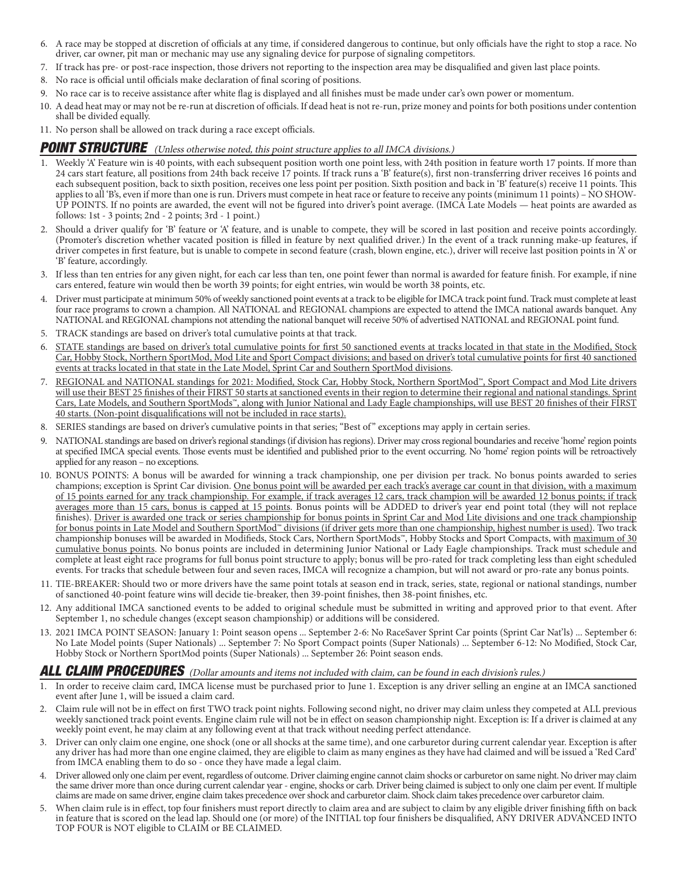- 6. A race may be stopped at discretion of officials at any time, if considered dangerous to continue, but only officials have the right to stop a race. No driver, car owner, pit man or mechanic may use any signaling device for purpose of signaling competitors.
- 7. If track has pre- or post-race inspection, those drivers not reporting to the inspection area may be disqualified and given last place points.
- 8. No race is official until officials make declaration of final scoring of positions.
- 9. No race car is to receive assistance after white flag is displayed and all finishes must be made under car's own power or momentum.
- 10. A dead heat may or may not be re-run at discretion of officials. If dead heat is not re-run, prize money and points for both positions under contention shall be divided equally.
- 11. No person shall be allowed on track during a race except officials.

#### POINT STRUCTURE (Unless otherwise noted, this point structure applies to all IMCA divisions.)

- 1. Weekly 'A' Feature win is 40 points, with each subsequent position worth one point less, with 24th position in feature worth 17 points. If more than 24 cars start feature, all positions from 24th back receive 17 points. If track runs a 'B' feature(s), first non-transferring driver receives 16 points and each subsequent position, back to sixth position, receives one less point per position. Sixth position and back in 'B' feature(s) receive 11 points. This applies to all 'B's, even if more than one is run. Drivers must compete in heat race or feature to receive any points (minimum 11 points) – NO SHOW-UP POINTS. If no points are awarded, the event will not be figured into driver's point average. (IMCA Late Models — heat points are awarded as follows: 1st - 3 points; 2nd - 2 points; 3rd - 1 point.)
- 2. Should a driver qualify for 'B' feature or 'A' feature, and is unable to compete, they will be scored in last position and receive points accordingly. (Promoter's discretion whether vacated position is filled in feature by next qualified driver.) In the event of a track running make-up features, if driver competes in first feature, but is unable to compete in second feature (crash, blown engine, etc.), driver will receive last position points in 'A' or 'B' feature, accordingly.
- 3. If less than ten entries for any given night, for each car less than ten, one point fewer than normal is awarded for feature finish. For example, if nine cars entered, feature win would then be worth 39 points; for eight entries, win would be worth 38 points, etc.
- 4. Driver must participate at minimum 50% of weekly sanctioned point events at a track to be eligible for IMCA track point fund. Track must complete at least four race programs to crown a champion. All NATIONAL and REGIONAL champions are expected to attend the IMCA national awards banquet. Any NATIONAL and REGIONAL champions not attending the national banquet will receive 50% of advertised NATIONAL and REGIONAL point fund.
- 5. TRACK standings are based on driver's total cumulative points at that track.
- 6. STATE standings are based on driver's total cumulative points for first 50 sanctioned events at tracks located in that state in the Modified, Stock Car, Hobby Stock, Northern SportMod, Mod Lite and Sport Compact divisions; and based on driver's total cumulative points for first 40 sanctioned events at tracks located in that state in the Late Model, Sprint Car and Southern SportMod divisions.
- 7. REGIONAL and NATIONAL standings for 2021: Modified, Stock Car, Hobby Stock, Northern SportMod™, Sport Compact and Mod Lite drivers will use their BEST 25 finishes of their FIRST 50 starts at sanctioned events in their region to determine their regional and national standings. Sprint Cars, Late Models, and Southern SportMods™, along with Junior National and Lady Eagle championships, will use BEST 20 finishes of their FIRST 40 starts. (Non-point disqualifications will not be included in race starts).
- 8. SERIES standings are based on driver's cumulative points in that series; "Best of " exceptions may apply in certain series.
- 9. NATIONAL standings are based on driver's regional standings (if division has regions). Driver may cross regional boundaries and receive 'home' region points at specified IMCA special events. Those events must be identified and published prior to the event occurring. No 'home' region points will be retroactively applied for any reason – no exceptions.
- 10. BONUS POINTS: A bonus will be awarded for winning a track championship, one per division per track. No bonus points awarded to series champions; exception is Sprint Car division. One bonus point will be awarded per each track's average car count in that division, with a maximum of 15 points earned for any track championship. For example, if track averages 12 cars, track champion will be awarded 12 bonus points; if track averages more than 15 cars, bonus is capped at 15 points. Bonus points will be ADDED to driver's year end point total (they will not replace finishes). Driver is awarded one track or series championship for bonus points in Sprint Car and Mod Lite divisions and one track championship for bonus points in Late Model and Southern SportMod™ divisions (if driver gets more than one championship, highest number is used). Two track championship bonuses will be awarded in Modifieds, Stock Cars, Northern SportMods™, Hobby Stocks and Sport Compacts, with maximum of 30 cumulative bonus points. No bonus points are included in determining Junior National or Lady Eagle championships. Track must schedule and complete at least eight race programs for full bonus point structure to apply; bonus will be pro-rated for track completing less than eight scheduled events. For tracks that schedule between four and seven races, IMCA will recognize a champion, but will not award or pro-rate any bonus points.
- 11. TIE-BREAKER: Should two or more drivers have the same point totals at season end in track, series, state, regional or national standings, number of sanctioned 40-point feature wins will decide tie-breaker, then 39-point finishes, then 38-point finishes, etc.
- 12. Any additional IMCA sanctioned events to be added to original schedule must be submitted in writing and approved prior to that event. After September 1, no schedule changes (except season championship) or additions will be considered.
- 13. 2021 IMCA POINT SEASON: January 1: Point season opens ... September 2-6: No RaceSaver Sprint Car points (Sprint Car Nat'ls) ... September 6: No Late Model points (Super Nationals) ... September 7: No Sport Compact points (Super Nationals) ... September 6-12: No Modified, Stock Car, Hobby Stock or Northern SportMod points (Super Nationals) ... September 26: Point season ends.

## ALL CLAIM PROCEDURES (Dollar amounts and items not included with claim, can be found in each division's rules.)

- 1. In order to receive claim card, IMCA license must be purchased prior to June 1. Exception is any driver selling an engine at an IMCA sanctioned event after June 1, will be issued a claim card.
- 2. Claim rule will not be in effect on first TWO track point nights. Following second night, no driver may claim unless they competed at ALL previous weekly sanctioned track point events. Engine claim rule will not be in effect on season championship night. Exception is: If a driver is claimed at any weekly point event, he may claim at any following event at that track without needing perfect attendance.
- 3. Driver can only claim one engine, one shock (one or all shocks at the same time), and one carburetor during current calendar year. Exception is after any driver has had more than one engine claimed, they are eligible to claim as many engines as they have had claimed and will be issued a 'Red Card' from IMCA enabling them to do so - once they have made a legal claim.
- 4. Driver allowed only one claim per event, regardless of outcome. Driver claiming engine cannot claim shocks or carburetor on same night. No driver may claim the same driver more than once during current calendar year - engine, shocks or carb. Driver being claimed is subject to only one claim per event. If multiple claims are made on same driver, engine claim takes precedence over shock and carburetor claim. Shock claim takes precedence over carburetor claim.
- When claim rule is in effect, top four finishers must report directly to claim area and are subject to claim by any eligible driver finishing fifth on back in feature that is scored on the lead lap. Should one (or more) of the INITIAL top four finishers be disqualified, ANY DRIVER ADVANCED INTO TOP FOUR is NOT eligible to CLAIM or BE CLAIMED.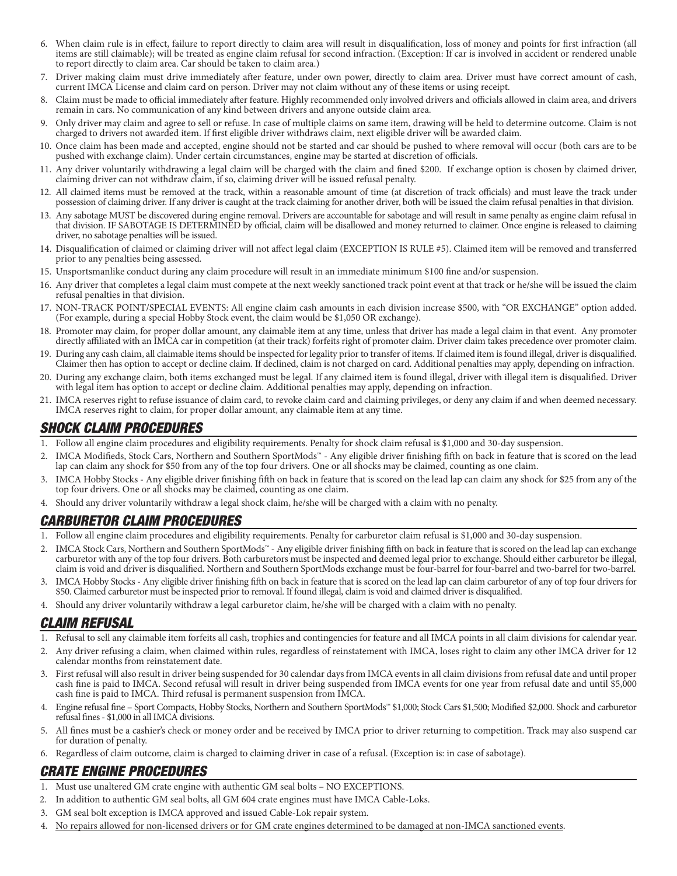- 6. When claim rule is in effect, failure to report directly to claim area will result in disqualification, loss of money and points for first infraction (all items are still claimable); will be treated as engine claim refusal for second infraction. (Exception: If car is involved in accident or rendered unable to report directly to claim area. Car should be taken to claim area.)
- 7. Driver making claim must drive immediately after feature, under own power, directly to claim area. Driver must have correct amount of cash, current IMCA License and claim card on person. Driver may not claim without any of these items or using receipt.
- 8. Claim must be made to official immediately after feature. Highly recommended only involved drivers and officials allowed in claim area, and drivers remain in cars. No communication of any kind between drivers and anyone outside claim area.
- 9. Only driver may claim and agree to sell or refuse. In case of multiple claims on same item, drawing will be held to determine outcome. Claim is not charged to drivers not awarded item. If first eligible driver withdraws claim, next eligible driver will be awarded claim.
- 10. Once claim has been made and accepted, engine should not be started and car should be pushed to where removal will occur (both cars are to be pushed with exchange claim). Under certain circumstances, engine may be started at discretion of officials.
- 11. Any driver voluntarily withdrawing a legal claim will be charged with the claim and fined \$200. If exchange option is chosen by claimed driver, claiming driver can not withdraw claim, if so, claiming driver will be issued refusal penalty.
- 12. All claimed items must be removed at the track, within a reasonable amount of time (at discretion of track officials) and must leave the track under possession of claiming driver. If any driver is caught at the track claiming for another driver, both will be issued the claim refusal penalties in that division.
- 13. Any sabotage MUST be discovered during engine removal. Drivers are accountable for sabotage and will result in same penalty as engine claim refusal in that division. IF SABOTAGE IS DETERMINED by official, claim will be disallowed and money returned to claimer. Once engine is released to claiming driver, no sabotage penalties will be issued.
- 14. Disqualification of claimed or claiming driver will not affect legal claim (EXCEPTION IS RULE #5). Claimed item will be removed and transferred prior to any penalties being assessed.
- 15. Unsportsmanlike conduct during any claim procedure will result in an immediate minimum \$100 fine and/or suspension.
- 16. Any driver that completes a legal claim must compete at the next weekly sanctioned track point event at that track or he/she will be issued the claim refusal penalties in that division.
- 17. NON-TRACK POINT/SPECIAL EVENTS: All engine claim cash amounts in each division increase \$500, with "OR EXCHANGE" option added. (For example, during a special Hobby Stock event, the claim would be \$1,050 OR exchange).
- 18. Promoter may claim, for proper dollar amount, any claimable item at any time, unless that driver has made a legal claim in that event. Any promoter directly affiliated with an IMCA car in competition (at their track) forfeits right of promoter claim. Driver claim takes precedence over promoter claim.
- 19. During any cash claim, all claimable items should be inspected for legality prior to transfer of items. If claimed item is found illegal, driver is disqualified. Claimer then has option to accept or decline claim. If declined, claim is not charged on card. Additional penalties may apply, depending on infraction.
- 20. During any exchange claim, both items exchanged must be legal. If any claimed item is found illegal, driver with illegal item is disqualified. Driver with legal item has option to accept or decline claim. Additional penalties may apply, depending on infraction.
- 21. IMCA reserves right to refuse issuance of claim card, to revoke claim card and claiming privileges, or deny any claim if and when deemed necessary. IMCA reserves right to claim, for proper dollar amount, any claimable item at any time.

# SHOCK CLAIM PROCEDURES

- 1. Follow all engine claim procedures and eligibility requirements. Penalty for shock claim refusal is \$1,000 and 30-day suspension.
- 2. IMCA Modifieds, Stock Cars, Northern and Southern SportMods™ Any eligible driver finishing fifth on back in feature that is scored on the lead lap can claim any shock for \$50 from any of the top four drivers. One or all shocks may be claimed, counting as one claim.
- 3. IMCA Hobby Stocks Any eligible driver finishing fifth on back in feature that is scored on the lead lap can claim any shock for \$25 from any of the top four drivers. One or all shocks may be claimed, counting as one claim.
- 4. Should any driver voluntarily withdraw a legal shock claim, he/she will be charged with a claim with no penalty.

# CARBURETOR CLAIM PROCEDURES

- 1. Follow all engine claim procedures and eligibility requirements. Penalty for carburetor claim refusal is \$1,000 and 30-day suspension.
- 2. IMCA Stock Cars, Northern and Southern SportMods™ Any eligible driver finishing fifth on back in feature that is scored on the lead lap can exchange carburetor with any of the top four drivers. Both carburetors must be inspected and deemed legal prior to exchange. Should either carburetor be illegal, claim is void and driver is disqualified. Northern and Southern SportMods exchange must be four-barrel for four-barrel and two-barrel for two-barrel.
- 3. IMCA Hobby Stocks Any eligible driver finishing fifth on back in feature that is scored on the lead lap can claim carburetor of any of top four drivers for \$50. Claimed carburetor must be inspected prior to removal. If found illegal, claim is void and claimed driver is disqualified.
- 4. Should any driver voluntarily withdraw a legal carburetor claim, he/she will be charged with a claim with no penalty.

### CLAIM REFUSAL

- 1. Refusal to sell any claimable item forfeits all cash, trophies and contingencies for feature and all IMCA points in all claim divisions for calendar year.
- 2. Any driver refusing a claim, when claimed within rules, regardless of reinstatement with IMCA, loses right to claim any other IMCA driver for 12 calendar months from reinstatement date.
- 3. First refusal will also result in driver being suspended for 30 calendar days from IMCA events in all claim divisions from refusal date and until proper cash fine is paid to IMCA. Second refusal will result in driver being suspended from IMCA events for one year from refusal date and until \$5,000 cash fine is paid to IMCA. Third refusal is permanent suspension from IMCA.
- 4. Engine refusal fine Sport Compacts, Hobby Stocks, Northern and Southern SportMods™ \$1,000; Stock Cars \$1,500; Modified \$2,000. Shock and carburetor refusal fines - \$1,000 in all IMCA divisions.
- 5. All fines must be a cashier's check or money order and be received by IMCA prior to driver returning to competition. Track may also suspend car for duration of penalty.
- 6. Regardless of claim outcome, claim is charged to claiming driver in case of a refusal. (Exception is: in case of sabotage).

# CRATE ENGINE PROCEDURES

- 1. Must use unaltered GM crate engine with authentic GM seal bolts NO EXCEPTIONS.
- 2. In addition to authentic GM seal bolts, all GM 604 crate engines must have IMCA Cable-Loks.
- 3. GM seal bolt exception is IMCA approved and issued Cable-Lok repair system.
- No repairs allowed for non-licensed drivers or for GM crate engines determined to be damaged at non-IMCA sanctioned events.